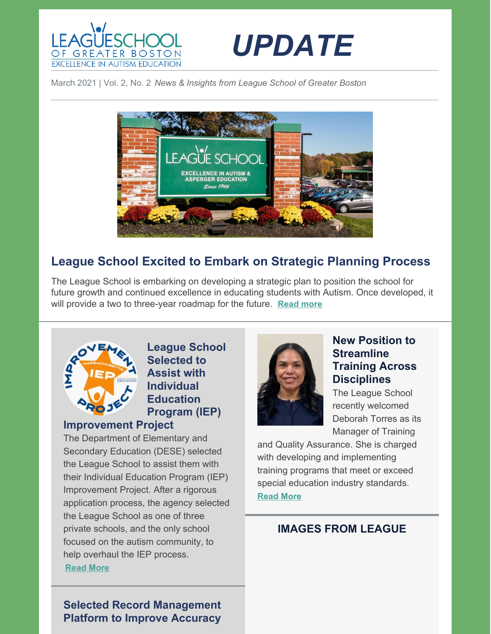



March 2021 | Vol. 2, No. 2 *News & Insights from League School of Greater Boston*



# **League School Excited to Embark on Strategic Planning Process**

The League School is embarking on developing a strategic plan to position the school for future growth and continued excellence in educating students with Autism. Once developed, it will provide a two to three-year roadmap for the future. **[Read](https://leagueschool.org/league-school-excited-to-embark-on-strategic-planning-process/) more**



### **League School Selected to Assist with Individual Education Program (IEP)**

### **Improvement Project**

The Department of Elementary and Secondary Education (DESE) selected the League School to assist them with their Individual Education Program (IEP) Improvement Project. After a rigorous application process, the agency selected the League School as one of three private schools, and the only school focused on the autism community, to help overhaul the IEP process.

**[Read](https://leagueschool.org/league-school-selected-to-assist-with-individual-education-program-iep-improvement-project/) More**



### **New Position to Streamline Training Across Disciplines**

The League School recently welcomed Deborah Torres as its Manager of Training

and Quality Assurance. She is charged with developing and implementing training programs that meet or exceed special education industry standards. **[Read](https://leagueschool.org/new-position-to-streamline-training-across-disciplines/) More**

## **IMAGES FROM LEAGUE**

**Selected Record Management Platform to Improve Accuracy**